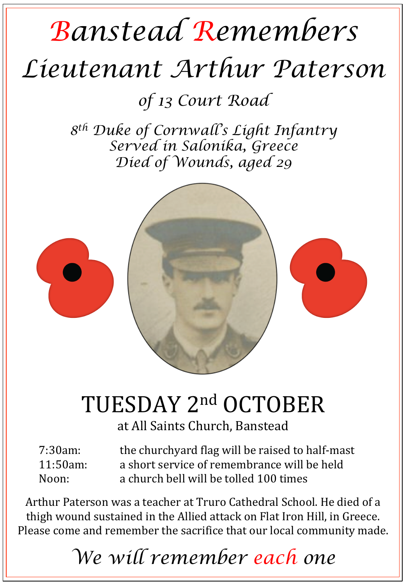## *Banstead Remembers Lieutenant Arthur Paterson*

*of 13 Court Road* 

*8th Duke of Cornwall's Light Infantry Served in Salonika, Greece Died of Wounds, aged 29* 



## TUESDAY 2nd OCTOBER

at All Saints Church, Banstead

| 7:30am:     | the churchyard flag will be raised to half-mast |
|-------------|-------------------------------------------------|
| $11:50am$ : | a short service of remembrance will be held     |
| Noon:       | a church bell will be tolled 100 times          |

Arthur Paterson was a teacher at Truro Cathedral School. He died of a thigh wound sustained in the Allied attack on Flat Iron Hill, in Greece. Please come and remember the sacrifice that our local community made.

*We will remember each one*